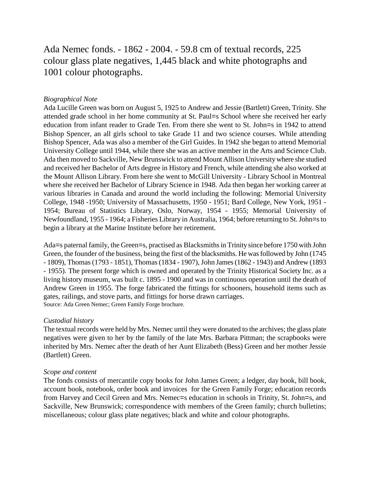# Ada Nemec fonds. - 1862 - 2004. - 59.8 cm of textual records, 225 colour glass plate negatives, 1,445 black and white photographs and 1001 colour photographs.

### *Biographical Note*

Ada Lucille Green was born on August 5, 1925 to Andrew and Jessie (Bartlett) Green, Trinity. She attended grade school in her home community at St. Paul=s School where she received her early education from infant reader to Grade Ten. From there she went to St. John=s in 1942 to attend Bishop Spencer, an all girls school to take Grade 11 and two science courses. While attending Bishop Spencer, Ada was also a member of the Girl Guides. In 1942 she began to attend Memorial University College until 1944, while there she was an active member in the Arts and Science Club. Ada then moved to Sackville, New Brunswick to attend Mount Allison University where she studied and received her Bachelor of Arts degree in History and French, while attending she also worked at the Mount Allison Library. From here she went to McGill University - Library School in Montreal where she received her Bachelor of Library Science in 1948. Ada then began her working career at various libraries in Canada and around the world including the following: Memorial University College, 1948 -1950; University of Massachusetts, 1950 - 1951; Bard College, New York, 1951 - 1954; Bureau of Statistics Library, Oslo, Norway, 1954 - 1955; Memorial University of Newfoundland, 1955 - 1964; a Fisheries Library in Australia, 1964; before returning to St. John=s to begin a library at the Marine Institute before her retirement.

Ada=s paternal family, the Green=s, practised as Blacksmiths in Trinity since before 1750 with John Green, the founder of the business, being the first of the blacksmiths. He was followed by John (1745 - 1809), Thomas (1793 - 1851), Thomas (1834 - 1907), John James (1862 - 1943) and Andrew (1893 - 1955). The present forge which is owned and operated by the Trinity Historical Society Inc. as a living history museum, was built c. 1895 - 1900 and was in continuous operation until the death of Andrew Green in 1955. The forge fabricated the fittings for schooners, household items such as gates, railings, and stove parts, and fittings for horse drawn carriages. Source: Ada Green Nemec; Green Family Forge brochure.

#### *Custodial history*

The textual records were held by Mrs. Nemec until they were donated to the archives; the glass plate negatives were given to her by the family of the late Mrs. Barbara Pittman; the scrapbooks were inherited by Mrs. Nemec after the death of her Aunt Elizabeth (Bess) Green and her mother Jessie (Bartlett) Green.

#### *Scope and content*

The fonds consists of mercantile copy books for John James Green; a ledger, day book, bill book, account book, notebook, order book and invoices for the Green Family Forge; education records from Harvey and Cecil Green and Mrs. Nemec=s education in schools in Trinity, St. John=s, and Sackville, New Brunswick; correspondence with members of the Green family; church bulletins; miscellaneous; colour glass plate negatives; black and white and colour photographs.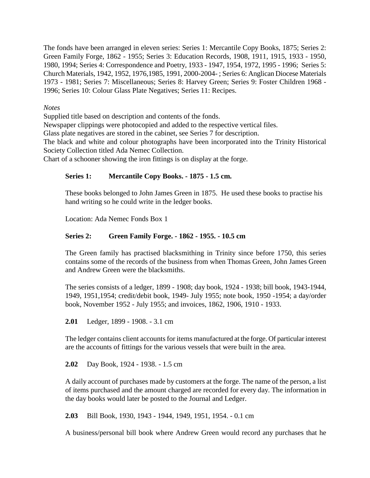The fonds have been arranged in eleven series: Series 1: Mercantile Copy Books, 1875; Series 2: Green Family Forge, 1862 - 1955; Series 3: Education Records, 1908, 1911, 1915, 1933 - 1950, 1980, 1994; Series 4: Correspondence and Poetry, 1933 - 1947, 1954, 1972, 1995 - 1996; Series 5: Church Materials, 1942, 1952, 1976,1985, 1991, 2000-2004- ; Series 6: Anglican Diocese Materials 1973 - 1981; Series 7: Miscellaneous; Series 8: Harvey Green; Series 9: Foster Children 1968 - 1996; Series 10: Colour Glass Plate Negatives; Series 11: Recipes.

*Notes*

Supplied title based on description and contents of the fonds.

Newspaper clippings were photocopied and added to the respective vertical files.

Glass plate negatives are stored in the cabinet, see Series 7 for description.

The black and white and colour photographs have been incorporated into the Trinity Historical Society Collection titled Ada Nemec Collection.

Chart of a schooner showing the iron fittings is on display at the forge.

#### **Series 1: Mercantile Copy Books. - 1875 - 1.5 cm.**

These books belonged to John James Green in 1875. He used these books to practise his hand writing so he could write in the ledger books.

Location: Ada Nemec Fonds Box 1

#### **Series 2: Green Family Forge. - 1862 - 1955. - 10.5 cm**

The Green family has practised blacksmithing in Trinity since before 1750, this series contains some of the records of the business from when Thomas Green, John James Green and Andrew Green were the blacksmiths.

The series consists of a ledger, 1899 - 1908; day book, 1924 - 1938; bill book, 1943-1944, 1949, 1951,1954; credit/debit book, 1949- July 1955; note book, 1950 -1954; a day/order book, November 1952 - July 1955; and invoices, 1862, 1906, 1910 - 1933.

**2.01** Ledger, 1899 - 1908. - 3.1 cm

The ledger contains client accounts for items manufactured at the forge. Of particular interest are the accounts of fittings for the various vessels that were built in the area.

**2.02** Day Book, 1924 - 1938. - 1.5 cm

A daily account of purchases made by customers at the forge. The name of the person, a list of items purchased and the amount charged are recorded for every day. The information in the day books would later be posted to the Journal and Ledger.

**2.03** Bill Book, 1930, 1943 - 1944, 1949, 1951, 1954. - 0.1 cm

A business/personal bill book where Andrew Green would record any purchases that he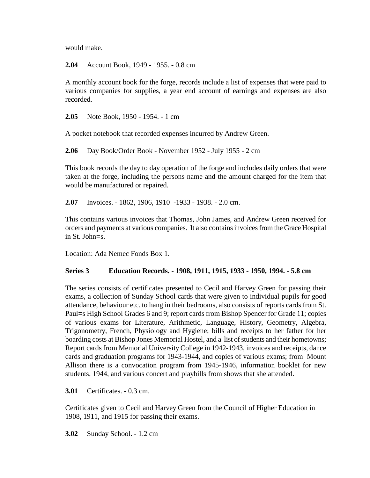would make.

**2.04** Account Book, 1949 - 1955. - 0.8 cm

A monthly account book for the forge, records include a list of expenses that were paid to various companies for supplies, a year end account of earnings and expenses are also recorded.

**2.05** Note Book, 1950 - 1954. - 1 cm

A pocket notebook that recorded expenses incurred by Andrew Green.

**2.06** Day Book/Order Book - November 1952 - July 1955 - 2 cm

This book records the day to day operation of the forge and includes daily orders that were taken at the forge, including the persons name and the amount charged for the item that would be manufactured or repaired.

**2.07** Invoices. - 1862, 1906, 1910 -1933 - 1938. - 2.0 cm.

This contains various invoices that Thomas, John James, and Andrew Green received for orders and payments at various companies. It also contains invoices from the Grace Hospital in St. John=s.

Location: Ada Nemec Fonds Box 1.

## **Series 3 Education Records. - 1908, 1911, 1915, 1933 - 1950, 1994. - 5.8 cm**

The series consists of certificates presented to Cecil and Harvey Green for passing their exams, a collection of Sunday School cards that were given to individual pupils for good attendance, behaviour etc. to hang in their bedrooms, also consists of reports cards from St. Paul=s High School Grades 6 and 9; report cards from Bishop Spencer for Grade 11; copies of various exams for Literature, Arithmetic, Language, History, Geometry, Algebra, Trigonometry, French, Physiology and Hygiene; bills and receipts to her father for her boarding costs at Bishop Jones Memorial Hostel, and a list of students and their hometowns; Report cards from Memorial University College in 1942-1943, invoices and receipts, dance cards and graduation programs for 1943-1944, and copies of various exams; from Mount Allison there is a convocation program from 1945-1946, information booklet for new students, 1944, and various concert and playbills from shows that she attended.

**3.01** Certificates. - 0.3 cm.

Certificates given to Cecil and Harvey Green from the Council of Higher Education in 1908, 1911, and 1915 for passing their exams.

**3.02** Sunday School. - 1.2 cm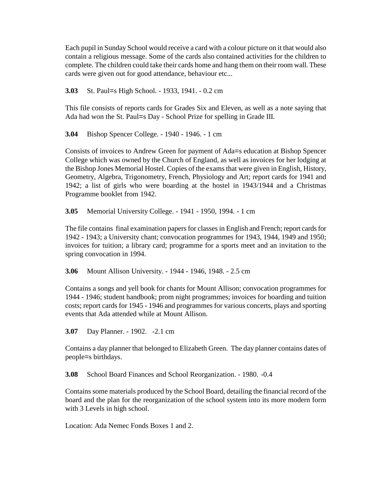Each pupil in Sunday School would receive a card with a colour picture on it that would also contain a religious message. Some of the cards also contained activities for the children to complete. The children could take their cards home and hang them on their room wall. These cards were given out for good attendance, behaviour etc...

**3.03** St. Paul=s High School. - 1933, 1941. - 0.2 cm

This file consists of reports cards for Grades Six and Eleven, as well as a note saying that Ada had won the St. Paul=s Day - School Prize for spelling in Grade III.

**3.04** Bishop Spencer College. - 1940 - 1946. - 1 cm

Consists of invoices to Andrew Green for payment of Ada=s education at Bishop Spencer College which was owned by the Church of England, as well as invoices for her lodging at the Bishop Jones Memorial Hostel. Copies of the exams that were given in English, History, Geometry, Algebra, Trigonometry, French, Physiology and Art; report cards for 1941 and 1942; a list of girls who were boarding at the hostel in 1943/1944 and a Christmas Programme booklet from 1942.

**3.05** Memorial University College. - 1941 - 1950, 1994. - 1 cm

The file contains final examination papers for classes in English and French; report cards for 1942 - 1943; a University chant; convocation programmes for 1943, 1944, 1949 and 1950; invoices for tuition; a library card; programme for a sports meet and an invitation to the spring convocation in 1994.

**3.06** Mount Allison University. - 1944 - 1946, 1948. - 2.5 cm

Contains a songs and yell book for chants for Mount Allison; convocation programmes for 1944 - 1946; student handbook; prom night programmes; invoices for boarding and tuition costs; report cards for 1945 - 1946 and programmes for various concerts, plays and sporting events that Ada attended while at Mount Allison.

**3.07** Day Planner. - 1902. -2.1 cm

Contains a day planner that belonged to Elizabeth Green. The day planner contains dates of people=s birthdays.

**3.08** School Board Finances and School Reorganization. - 1980. -0.4

Contains some materials produced by the School Board, detailing the financial record of the board and the plan for the reorganization of the school system into its more modern form with 3 Levels in high school.

Location: Ada Nemec Fonds Boxes 1 and 2.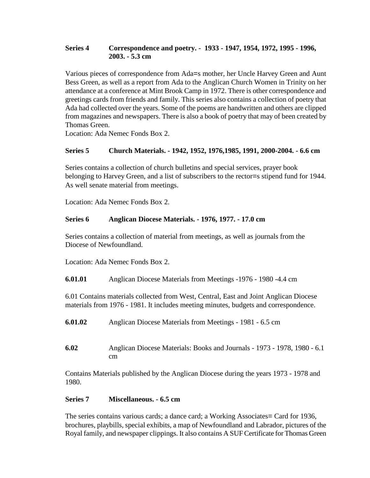## **Series 4 Correspondence and poetry. - 1933 - 1947, 1954, 1972, 1995 - 1996, 2003. - 5.3 cm**

Various pieces of correspondence from Ada=s mother, her Uncle Harvey Green and Aunt Bess Green, as well as a report from Ada to the Anglican Church Women in Trinity on her attendance at a conference at Mint Brook Camp in 1972. There is other correspondence and greetings cards from friends and family. This series also contains a collection of poetry that Ada had collected over the years. Some of the poems are handwritten and others are clipped from magazines and newspapers. There is also a book of poetry that may of been created by Thomas Green.

Location: Ada Nemec Fonds Box 2.

## **Series 5 Church Materials. - 1942, 1952, 1976,1985, 1991, 2000-2004. - 6.6 cm**

Series contains a collection of church bulletins and special services, prayer book belonging to Harvey Green, and a list of subscribers to the rector=s stipend fund for 1944. As well senate material from meetings.

Location: Ada Nemec Fonds Box 2.

## **Series 6 Anglican Diocese Materials. - 1976, 1977. - 17.0 cm**

Series contains a collection of material from meetings, as well as journals from the Diocese of Newfoundland.

Location: Ada Nemec Fonds Box 2.

**6.01.01** Anglican Diocese Materials from Meetings -1976 - 1980 -4.4 cm

6.01 Contains materials collected from West, Central, East and Joint Anglican Diocese materials from 1976 - 1981. It includes meeting minutes, budgets and correspondence.

- **6.01.02** Anglican Diocese Materials from Meetings 1981 6.5 cm
- **6.02** Anglican Diocese Materials: Books and Journals 1973 1978, 1980 6.1 cm

Contains Materials published by the Anglican Diocese during the years 1973 - 1978 and 1980.

#### **Series 7 Miscellaneous. - 6.5 cm**

The series contains various cards; a dance card; a Working Associates= Card for 1936, brochures, playbills, special exhibits, a map of Newfoundland and Labrador, pictures of the Royal family, and newspaper clippings. It also contains A SUF Certificate for Thomas Green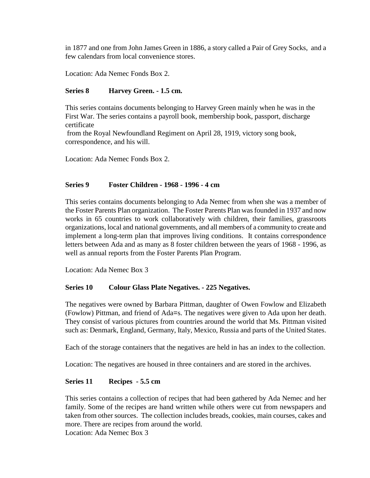in 1877 and one from John James Green in 1886, a story called a Pair of Grey Socks, and a few calendars from local convenience stores.

Location: Ada Nemec Fonds Box 2.

### **Series 8 Harvey Green. - 1.5 cm.**

This series contains documents belonging to Harvey Green mainly when he was in the First War. The series contains a payroll book, membership book, passport, discharge certificate

from the Royal Newfoundland Regiment on April 28, 1919, victory song book, correspondence, and his will.

Location: Ada Nemec Fonds Box 2.

#### **Series 9 Foster Children - 1968 - 1996 - 4 cm**

This series contains documents belonging to Ada Nemec from when she was a member of the Foster Parents Plan organization. The Foster Parents Plan was founded in 1937 and now works in 65 countries to work collaboratively with children, their families, grassroots organizations, local and national governments, and all members of a community to create and implement a long-term plan that improves living conditions. It contains correspondence letters between Ada and as many as 8 foster children between the years of 1968 - 1996, as well as annual reports from the Foster Parents Plan Program.

Location: Ada Nemec Box 3

#### **Series 10 Colour Glass Plate Negatives. - 225 Negatives.**

The negatives were owned by Barbara Pittman, daughter of Owen Fowlow and Elizabeth (Fowlow) Pittman, and friend of Ada=s. The negatives were given to Ada upon her death. They consist of various pictures from countries around the world that Ms. Pittman visited such as: Denmark, England, Germany, Italy, Mexico, Russia and parts of the United States.

Each of the storage containers that the negatives are held in has an index to the collection.

Location: The negatives are housed in three containers and are stored in the archives.

#### **Series 11 Recipes - 5.5 cm**

This series contains a collection of recipes that had been gathered by Ada Nemec and her family. Some of the recipes are hand written while others were cut from newspapers and taken from other sources. The collection includes breads, cookies, main courses, cakes and more. There are recipes from around the world.

Location: Ada Nemec Box 3